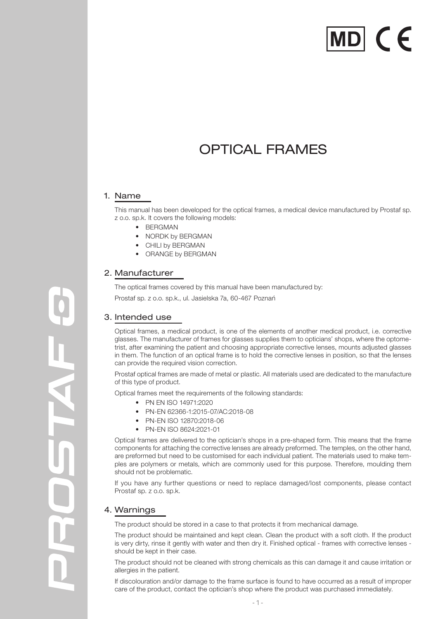# MDI CE

# OPTICAL FRAMES

# 1. Name

This manual has been developed for the optical frames, a medical device manufactured by Prostaf sp. z o.o. sp.k. It covers the following models:

- BERGMAN
- NORDK by BERGMAN
- CHILI by BERGMAN
- ORANGE by BERGMAN

# 2. Manufacturer

The optical frames covered by this manual have been manufactured by:

Prostaf sp. z o.o. sp.k., ul. Jasielska 7a, 60-467 Poznań

# 3. Intended use

Optical frames, a medical product, is one of the elements of another medical product, i.e. corrective glasses. The manufacturer of frames for glasses supplies them to opticians' shops, where the optometrist, after examining the patient and choosing appropriate corrective lenses, mounts adjusted glasses in them. The function of an optical frame is to hold the corrective lenses in position, so that the lenses can provide the required vision correction.

Prostaf optical frames are made of metal or plastic. All materials used are dedicated to the manufacture of this type of product.

Optical frames meet the requirements of the following standards:

- PN EN ISO 14971:2020
- PN-EN 62366-1:2015-07/AC:2018-08
- PN-EN ISO 12870:2018-06
- PN-EN ISO 8624:2021-01

Optical frames are delivered to the optician's shops in a pre-shaped form. This means that the frame components for attaching the corrective lenses are already preformed. The temples, on the other hand, are preformed but need to be customised for each individual patient. The materials used to make temples are polymers or metals, which are commonly used for this purpose. Therefore, moulding them should not be problematic.

If you have any further questions or need to replace damaged/lost components, please contact Prostaf sp. z o.o. sp.k.

#### 4. Warnings

The product should be stored in a case to that protects it from mechanical damage.

The product should be maintained and kept clean. Clean the product with a soft cloth. If the product is very dirty, rinse it gently with water and then dry it. Finished optical - frames with corrective lenses should be kept in their case.

The product should not be cleaned with strong chemicals as this can damage it and cause irritation or allergies in the patient.

If discolouration and/or damage to the frame surface is found to have occurred as a result of improper care of the product, contact the optician's shop where the product was purchased immediately.